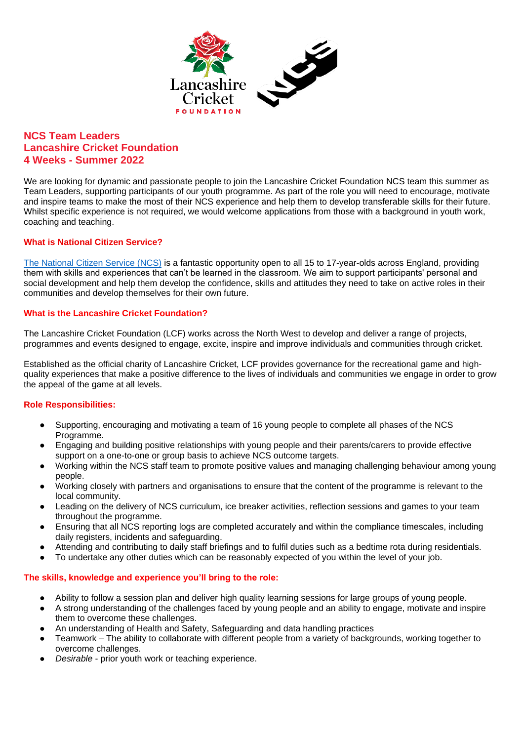

# **NCS Team Leaders Lancashire Cricket Foundation 4 Weeks - Summer 2022**

We are looking for dynamic and passionate people to join the Lancashire Cricket Foundation NCS team this summer as Team Leaders, supporting participants of our youth programme. As part of the role you will need to encourage, motivate and inspire teams to make the most of their NCS experience and help them to develop transferable skills for their future. Whilst specific experience is not required, we would welcome applications from those with a background in youth work, coaching and teaching.

## **What is National Citizen Service?**

[The National Citizen Service \(NCS\)](https://wearencs.com/summer?kxconfid=uigymc7el&gclid=CjwKCAjwu5CDBhB9EiwA0w6sLfso3-XUH6WZM6-CB5rn3uuKRlrQTe3TfIWhCpuFVcx-x2lQ_u6E8xoCr_cQAvD_BwE&gclsrc=aw.ds) is a fantastic opportunity open to all 15 to 17-year-olds across England, providing them with skills and experiences that can't be learned in the classroom. We aim to support participants' personal and social development and help them develop the confidence, skills and attitudes they need to take on active roles in their communities and develop themselves for their own future.

## **What is the Lancashire Cricket Foundation?**

The Lancashire Cricket Foundation (LCF) works across the North West to develop and deliver a range of projects, programmes and events designed to engage, excite, inspire and improve individuals and communities through cricket.

Established as the official charity of Lancashire Cricket, LCF provides governance for the recreational game and highquality experiences that make a positive difference to the lives of individuals and communities we engage in order to grow the appeal of the game at all levels.

## **Role Responsibilities:**

- Supporting, encouraging and motivating a team of 16 young people to complete all phases of the NCS Programme.
- Engaging and building positive relationships with young people and their parents/carers to provide effective support on a one-to-one or group basis to achieve NCS outcome targets.
- Working within the NCS staff team to promote positive values and managing challenging behaviour among young people.
- Working closely with partners and organisations to ensure that the content of the programme is relevant to the local community.
- Leading on the delivery of NCS curriculum, ice breaker activities, reflection sessions and games to your team throughout the programme.
- Ensuring that all NCS reporting logs are completed accurately and within the compliance timescales, including daily registers, incidents and safeguarding.
- Attending and contributing to daily staff briefings and to fulfil duties such as a bedtime rota during residentials.
- To undertake any other duties which can be reasonably expected of you within the level of your job.

## **The skills, knowledge and experience you'll bring to the role:**

- Ability to follow a session plan and deliver high quality learning sessions for large groups of young people.
- A strong understanding of the challenges faced by young people and an ability to engage, motivate and inspire them to overcome these challenges.
- An understanding of Health and Safety, Safeguarding and data handling practices
- Teamwork The ability to collaborate with different people from a variety of backgrounds, working together to overcome challenges.
- Desirable prior youth work or teaching experience.